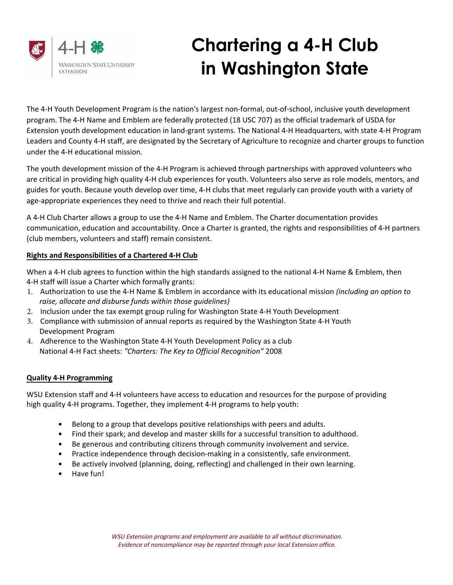

# Chartering a 4-H Club in Washington State

The 4-H Youth Development Program is the nation's largest non-formal, out-of-school, inclusive youth development program. The 4-H Name and Emblem are federally protected (18 USC 707) as the official trademark of USDA for Extension youth development education in land-grant systems. The National 4-H Headquarters, with state 4-H Program Leaders and County 4-H staff, are designated by the Secretary of Agriculture to recognize and charter groups to function under the 4-H educational mission.

The youth development mission of the 4-H Program is achieved through partnerships with approved volunteers who are critical in providing high quality 4-H club experiences for youth. Volunteers also serve as role models, mentors, and guides for youth. Because youth develop over time, 4-H clubs that meet regularly can provide youth with a variety of age-appropriate experiences they need to thrive and reach their full potential.

A 4-H Club Charter allows a group to use the 4-H Name and Emblem. The Charter documentation provides communication, education and accountability. Once a Charter is granted, the rights and responsibilities of 4-H partners (club members, volunteers and staff) remain consistent.

## **Rights and Responsibilities of a Chartered 4-H Club**

When a 4-H club agrees to function within the high standards assigned to the national 4-H Name & Emblem, then 4-H staff will issue a Charter which formally grants:

- 1. Authorization to use the 4-H Name & Emblem in accordance with its educational mission *(including an option to raise, allocate and disburse funds within those guidelines)*
- 2. Inclusion under the tax exempt group ruling for Washington State 4-H Youth Development
- 3. Compliance with submission of annual reports as required by the Washington State 4-H Youth Development Program
- 4. Adherence to the Washington State 4-H Youth Development Policy as a club National 4-H Fact sheets: *"Charters: The Key to Official Recognition"* 2008

## **Quality 4-H Programming**

WSU Extension staff and 4-H volunteers have access to education and resources for the purpose of providing high quality 4-H programs. Together, they implement 4-H programs to help youth:

- Belong to a group that develops positive relationships with peers and adults.
- Find their spark; and develop and master skills for a successful transition to adulthood.
- Be generous and contributing citizens through community involvement and service.
- Practice independence through decision-making in a consistently, safe environment.
- Be actively involved (planning, doing, reflecting) and challenged in their own learning.
- Have fun!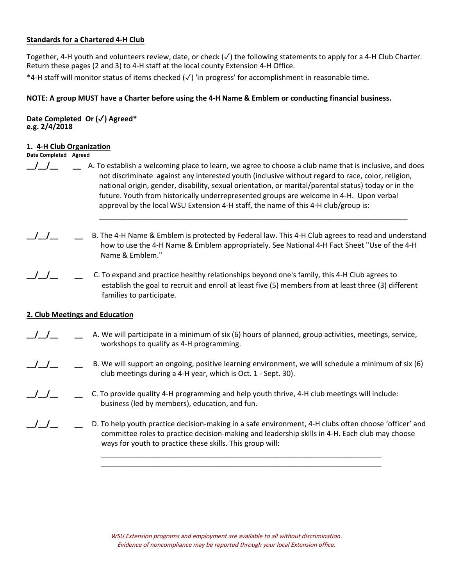#### **Standards for a Chartered 4-H Club**

Together, 4-H youth and volunteers review, date, or check (✓) the following statements to apply for a 4-H Club Charter. Return these pages (2 and 3) to 4-H staff at the local county Extension 4-H Office.

\*4-H staff will monitor status of items checked (✓) 'in progress' for accomplishment in reasonable time.

#### NOTE: A group MUST have a Charter before using the 4-H Name & Emblem or conducting financial business.

#### Date Completed Or (√) Agreed\* e.g. 2/4/2018

#### 1. 4-H Club Organization

- Date Completed Agreed
- $J_{\perp}$   $J_{\perp}$   $\perp$  A. To establish a welcoming place to learn, we agree to choose a club name that is inclusive, and does not discriminate against any interested youth (inclusive without regard to race, color, religion, national origin, gender, disability, sexual orientation, or marital/parental status) today or in the future. Youth from historically underrepresented groups are welcome in 4-H. Upon verbal approval by the local WSU Extension 4-H staff, the name of this 4-H club/group is:
- B. The 4-H Name & Emblem is protected by Federal law. This 4-H Club agrees to read and understand how to use the 4-H Name & Emblem appropriately. See National 4-H Fact Sheet "Use of the 4-H Name & Emblem."
- 
- \_\_/\_\_/\_\_ \_\_ C. To expand and practice healthy relationships beyond one's family, this 4-H Club agrees to establish the goal to recruit and enroll at least five (5) members from at least three (3) different families to participate.

\_\_\_\_\_\_\_\_\_\_\_\_\_\_\_\_\_\_\_\_\_\_\_\_\_\_\_\_\_\_\_\_\_\_\_\_\_\_\_\_\_\_\_\_\_\_\_\_\_\_\_\_\_\_\_\_\_\_\_\_\_\_\_\_\_\_\_\_\_\_\_\_\_\_\_\_

## **2. Club Meetings and Education**

- $\frac{1}{2}$ A. We will participate in a minimum of six (6) hours of planned, group activities, meetings, service, workshops to qualify as 4-H programming.
- \_\_/\_\_/\_\_ \_\_ B. We will support an ongoing, positive learning environment, we will schedule a minimum of six (6) club meetings during a 4-H year, which is Oct. 1 - Sept. 30).
- \_\_/\_\_/\_\_ \_\_ C. To provide quality 4-H programming and help youth thrive, 4-H club meetings will include: business (led by members), education, and fun.
- D. To help youth practice decision-making in a safe environment, 4-H clubs often choose 'officer' and committee roles to practice decision-making and leadership skills in 4-H. Each club may choose ways for youth to practice these skills. This group will:

\_\_\_\_\_\_\_\_\_\_\_\_\_\_\_\_\_\_\_\_\_\_\_\_\_\_\_\_\_\_\_\_\_\_\_\_\_\_\_\_\_\_\_\_\_\_\_\_\_\_\_\_\_\_\_\_\_\_\_\_\_\_\_\_\_\_\_\_\_ \_\_\_\_\_\_\_\_\_\_\_\_\_\_\_\_\_\_\_\_\_\_\_\_\_\_\_\_\_\_\_\_\_\_\_\_\_\_\_\_\_\_\_\_\_\_\_\_\_\_\_\_\_\_\_\_\_\_\_\_\_\_\_\_\_\_\_\_\_

WSU Extension programs and employment are available to all without discrimination. Evidence of noncompliance may be reported through your local Extension office.